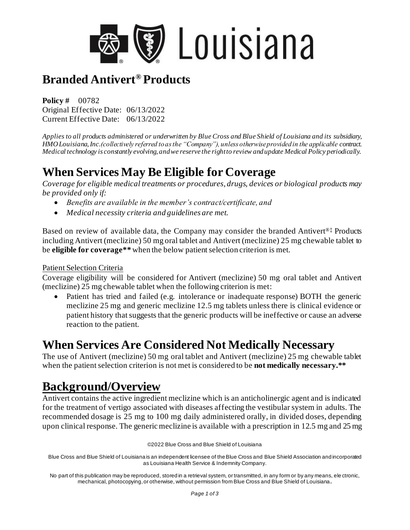

# **Branded Antivert® Products**

**Policy #** 00782 Original Effective Date: 06/13/2022 Current Effective Date: 06/13/2022

*Applies to all products administered or underwritten by Blue Cross and Blue Shield of Louisiana and its subsidiary, HMO Louisiana, Inc.(collectively referred to as the "Company"), unless otherwise provided in the applicable contract. Medical technology is constantly evolving, and we reserve the right to review and update Medical Policy periodically.* 

## **When Services May Be Eligible for Coverage**

*Coverage for eligible medical treatments or procedures, drugs, devices or biological products may be provided only if:*

- *Benefits are available in the member's contract/certificate, and*
- *Medical necessity criteria and guidelines are met.*

Based on review of available data, the Company may consider the branded Antivert®‡ Products including Antivert (meclizine) 50 mg oral tablet and Antivert (meclizine) 25 mg chewable tablet to be **eligible for coverage\*\*** when the below patient selection criterion is met.

#### Patient Selection Criteria

Coverage eligibility will be considered for Antivert (meclizine) 50 mg oral tablet and Antivert (meclizine) 25 mg chewable tablet when the following criterion is met:

• Patient has tried and failed (e.g. intolerance or inadequate response) BOTH the generic meclizine 25 mg and generic meclizine 12.5 mg tablets unless there is clinical evidence or patient history that suggests that the generic products will be ineffective or cause an adverse reaction to the patient.

#### **When Services Are Considered Not Medically Necessary**

The use of Antivert (meclizine) 50 mg oral tablet and Antivert (meclizine) 25 mg chewable tablet when the patient selection criterion is not met is considered to be **not medically necessary.**\*\*

### **Background/Overview**

Antivert contains the active ingredient meclizine which is an anticholinergic agent and is indicated for the treatment of vertigo associated with diseases affecting the vestibular system in adults. The recommended dosage is 25 mg to 100 mg daily administered orally, in divided doses, depending upon clinical response. The generic meclizine is available with a prescription in 12.5 mg and 25 mg

©2022 Blue Cross and Blue Shield of Louisiana

Blue Cross and Blue Shield of Louisiana is an independent licensee of the Blue Cross and Blue Shield Association and incorporated as Louisiana Health Service & Indemnity Company.

No part of this publication may be reproduced, stored in a retrieval system, or transmitted, in any form or by any means, ele ctronic, mechanical, photocopying, or otherwise, without permission from Blue Cross and Blue Shield of Louisiana**.**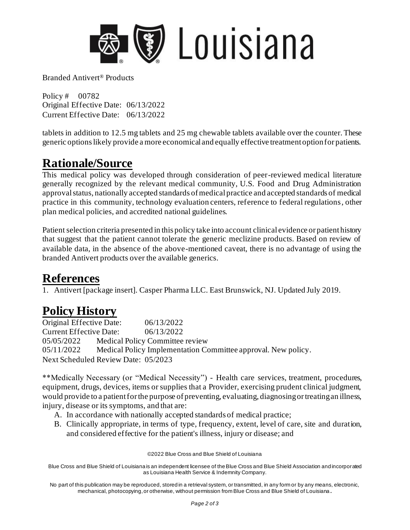

Branded Antivert® Products

Policy # 00782 Original Effective Date: 06/13/2022 Current Effective Date: 06/13/2022

tablets in addition to 12.5 mg tablets and 25 mg chewable tablets available over the counter. These generic options likely provide a more economical and equally effective treatment option for patients.

## **Rationale/Source**

This medical policy was developed through consideration of peer-reviewed medical literature generally recognized by the relevant medical community, U.S. Food and Drug Administration approval status, nationally accepted standards of medical practice and accepted standards of medical practice in this community, technology evaluation centers, reference to federal regulations, other plan medical policies, and accredited national guidelines.

Patient selection criteria presented in this policy take into account clinical evidence or patient history that suggest that the patient cannot tolerate the generic meclizine products. Based on review of available data, in the absence of the above-mentioned caveat, there is no advantage of using the branded Antivert products over the available generics.

### **References**

1. Antivert [package insert]. Casper Pharma LLC. East Brunswick, NJ. Updated July 2019.

# **Policy History**

Original Effective Date: 06/13/2022 Current Effective Date: 06/13/2022 05/05/2022 Medical Policy Committee review 05/11/2022 Medical Policy Implementation Committee approval. New policy. Next Scheduled Review Date: 05/2023

\*\*Medically Necessary (or "Medical Necessity") - Health care services, treatment, procedures, equipment, drugs, devices, items or supplies that a Provider, exercising prudent clinical judgment, would provide to a patient for the purpose of preventing, evaluating, diagnosing or treating an illness, injury, disease or its symptoms, and that are:

- A. In accordance with nationally accepted standards of medical practice;
- B. Clinically appropriate, in terms of type, frequency, extent, level of care, site and duration, and considered effective for the patient's illness, injury or disease; and

©2022 Blue Cross and Blue Shield of Louisiana

Blue Cross and Blue Shield of Louisiana is an independent licensee of the Blue Cross and Blue Shield Association and incorporated as Louisiana Health Service & Indemnity Company.

No part of this publication may be reproduced, stored in a retrieval system, or transmitted, in any form or by any means, electronic, mechanical, photocopying, or otherwise, without permission from Blue Cross and Blue Shield of Louisiana **.**